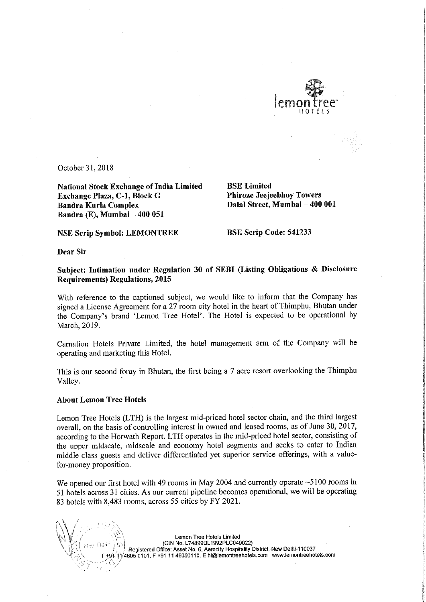

October 31, 2018

National Stock Exchange of India Limited<br> **Exchange Plaza, C-1, Block G** Phiroze Jeejeebhoy Towers Exchange Plaza, C-1, Block G Bandra Kurla Complex Bandra (E), Mumbai — 400 051

Dalal Street, Mumbai - 400 001

NSE Scrip Symbol: LEMONTREE BSE Scrip Code: 541233

Dear Sir

Subject: Intimation under Regulation <sup>30</sup> of SEBI (Listing Obligations & Disclosure Requirements) Regulations, 2015

With reference to the captioned subject, we would like to inform that the Company has signed a License Agreement for a 27 room city hotel in the heart of Thimphu, Bhutan under the Company's brand 'Lemon Tree Hotel'. The Hotel is expected to be operational by March, 2019.

Carnation Hotels Private Limited, the hotel management arm of the Company will be operating and marketing this Hotel.

This is our second foray in Bhutan, the first being <sup>a</sup> <sup>7</sup> acre resort overlooking the Thimphu ' Valley.

## About Lemon Tree Hotels

Lemon Tree Hotels (LTH) is the largest mid-priced hotel sector chain, and the third largest overall, on the basis of controlling interest in owned and leased rooms, as of June 30, 2017, according to the Horwath Report. LTH operates in the mid-priced hotel sector, consisting of the upper midscale, midscale and economy hotel segments and seeks to cater to Indian middle class guests and deliver differentiated yet superior service offerings, with <sup>a</sup> valuefor-money proposition.

We opened our first hotel with 49 rooms in May 2004 and currently operate ~5100 rooms in <sup>51</sup> hotels across <sup>31</sup> cities. As our current pipeline becomes operational, we will be operating <sup>83</sup> hotels with 8,483 rooms, across <sup>55</sup> cities by FY 2021.

> Lemon Tree Hotels Limited - (CIN No. L748990L1992PLC049022) Registered Office: Asset No. 6, Aerocity Hospitality District, New Delhi-110037 4605 0101, <sup>F</sup> +91 <sup>11</sup> 46050110. <sup>E</sup> hi@|emonlreehotels.com www.lemontreehotels.com